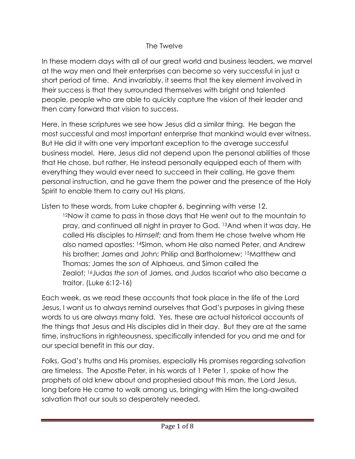## The Twelve

In these modern days with all of our great world and business leaders, we marvel at the way men and their enterprises can become so very successful in just a short period of time. And invariably, it seems that the key element involved in their success is that they surrounded themselves with bright and talented people, people who are able to quickly capture the vision of their leader and then carry forward that vision to success.

Here, in these scriptures we see how Jesus did a similar thing. He began the most successful and most important enterprise that mankind would ever witness. But He did it with one very important exception to the average successful business model. Here, Jesus did not depend upon the personal abilities of those that He chose, but rather, He instead personally equipped each of them with everything they would ever need to succeed in their calling. He gave them personal instruction, and he gave them the power and the presence of the Holy Spirit to enable them to carry out His plans.

Listen to these words, from Luke chapter 6, beginning with verse 12.

<sup>12</sup>Now it came to pass in those days that He went out to the mountain to pray, and continued all night in prayer to God. <sup>13</sup>And when it was day, He called His disciples to *Himself;* and from them He chose twelve whom He also named apostles: <sup>14</sup>Simon, whom He also named Peter, and Andrew his brother; James and John; Philip and Bartholomew; <sup>15</sup>Matthew and Thomas; James the *son* of Alphaeus, and Simon called the Zealot; <sup>16</sup>Judas *the son* of James, and Judas Iscariot who also became a traitor. (Luke 6:12-16)

Each week, as we read these accounts that took place in the life of the Lord Jesus, I want us to always remind ourselves that God's purposes in giving these words to us are always many fold. Yes, these are actual historical accounts of the things that Jesus and His disciples did in their day. But they are at the same time, instructions in righteousness, specifically intended for you and me and for our special benefit in this our day.

Folks, God's truths and His promises, especially His promises regarding salvation are timeless. The Apostle Peter, in his words of 1 Peter 1, spoke of how the prophets of old knew about and prophesied about this man, the Lord Jesus, long before He came to walk among us, bringing with Him the long-awaited salvation that our souls so desperately needed.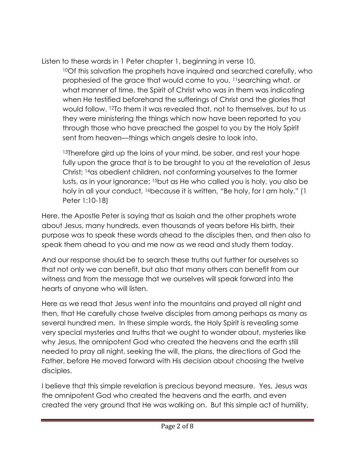Listen to these words in 1 Peter chapter 1, beginning in verse 10.

<sup>10</sup>Of this salvation the prophets have inquired and searched carefully, who prophesied of the grace that would come to you, <sup>11</sup>searching what, or what manner of time, the Spirit of Christ who was in them was indicating when He testified beforehand the sufferings of Christ and the glories that would follow. <sup>12</sup>To them it was revealed that, not to themselves, but to us they were ministering the things which now have been reported to you through those who have preached the gospel to you by the Holy Spirit sent from heaven—things which angels desire to look into.

<sup>13</sup>Therefore gird up the loins of your mind, be sober, and rest your hope fully upon the grace that is to be brought to you at the revelation of Jesus Christ; <sup>14</sup>as obedient children, not conforming yourselves to the former lusts, as in your ignorance; <sup>15</sup>but as He who called you is holy, you also be holy in all your conduct, 16because it is written, "Be holy, for I am holy." (1 Peter 1:10-18)

Here, the Apostle Peter is saying that as Isaiah and the other prophets wrote about Jesus, many hundreds, even thousands of years before His birth, their purpose was to speak these words ahead to the disciples then, and then also to speak them ahead to you and me now as we read and study them today.

And our response should be to search these truths out further for ourselves so that not only we can benefit, but also that many others can benefit from our witness and from the message that we ourselves will speak forward into the hearts of anyone who will listen.

Here as we read that Jesus went into the mountains and prayed all night and then, that He carefully chose twelve disciples from among perhaps as many as several hundred men. In these simple words, the Holy Spirit is revealing some very special mysteries and truths that we ought to wonder about, mysteries like why Jesus, the omnipotent God who created the heavens and the earth still needed to pray all night, seeking the will, the plans, the directions of God the Father, before He moved forward with His decision about choosing the twelve disciples.

I believe that this simple revelation is precious beyond measure. Yes, Jesus was the omnipotent God who created the heavens and the earth, and even created the very ground that He was walking on. But this simple act of humility,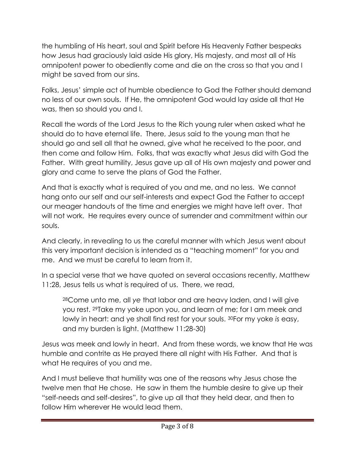the humbling of His heart, soul and Spirit before His Heavenly Father bespeaks how Jesus had graciously laid aside His glory, His majesty, and most all of His omnipotent power to obediently come and die on the cross so that you and I might be saved from our sins.

Folks, Jesus' simple act of humble obedience to God the Father should demand no less of our own souls. If He, the omnipotent God would lay aside all that He was, then so should you and I.

Recall the words of the Lord Jesus to the Rich young ruler when asked what he should do to have eternal life. There, Jesus said to the young man that he should go and sell all that he owned, give what he received to the poor, and then come and follow Him. Folks, that was exactly what Jesus did with God the Father. With great humility, Jesus gave up all of His own majesty and power and glory and came to serve the plans of God the Father.

And that is exactly what is required of you and me, and no less. We cannot hang onto our self and our self-interests and expect God the Father to accept our meager handouts of the time and energies we might have left over. That will not work. He requires every ounce of surrender and commitment within our souls.

And clearly, in revealing to us the careful manner with which Jesus went about this very important decision is intended as a "teaching moment" for you and me. And we must be careful to learn from it.

In a special verse that we have quoted on several occasions recently, Matthew 11:28, Jesus tells us what is required of us. There, we read,

<sup>28</sup>Come unto me, all *ye* that labor and are heavy laden, and I will give you rest. <sup>29</sup>Take my yoke upon you, and learn of me; for I am meek and lowly in heart: and ye shall find rest for your souls. <sup>30</sup>For my yoke *is* easy, and my burden is light. (Matthew 11:28-30)

Jesus was meek and lowly in heart. And from these words, we know that He was humble and contrite as He prayed there all night with His Father. And that is what He requires of you and me.

And I must believe that humility was one of the reasons why Jesus chose the twelve men that He chose. He saw in them the humble desire to give up their "self-needs and self-desires", to give up all that they held dear, and then to follow Him wherever He would lead them.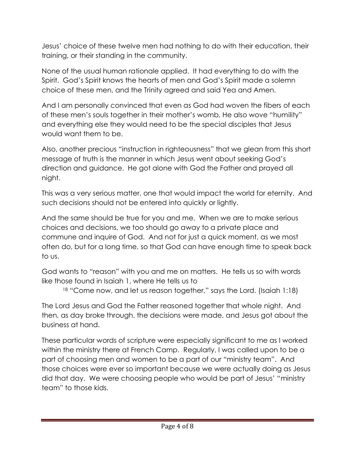Jesus' choice of these twelve men had nothing to do with their education, their training, or their standing in the community.

None of the usual human rationale applied. It had everything to do with the Spirit. God's Spirit knows the hearts of men and God's Spirit made a solemn choice of these men, and the Trinity agreed and said Yea and Amen.

And I am personally convinced that even as God had woven the fibers of each of these men's souls together in their mother's womb, He also wove "humility" and everything else they would need to be the special disciples that Jesus would want them to be.

Also, another precious "instruction in righteousness" that we glean from this short message of truth is the manner in which Jesus went about seeking God's direction and guidance. He got alone with God the Father and prayed all night.

This was a very serious matter, one that would impact the world for eternity. And such decisions should not be entered into quickly or lightly.

And the same should be true for you and me. When we are to make serious choices and decisions, we too should go away to a private place and commune and inquire of God. And not for just a quick moment, as we most often do, but for a long time, so that God can have enough time to speak back to us.

God wants to "reason" with you and me on matters. He tells us so with words like those found in Isaiah 1, where He tells us to

18 "Come now, and let us reason together," says the Lord. (Isaiah 1:18)

The Lord Jesus and God the Father reasoned together that whole night. And then, as day broke through, the decisions were made, and Jesus got about the business at hand.

These particular words of scripture were especially significant to me as I worked within the ministry there at French Camp. Regularly, I was called upon to be a part of choosing men and women to be a part of our "ministry team". And those choices were ever so important because we were actually doing as Jesus did that day. We were choosing people who would be part of Jesus' "ministry team" to those kids.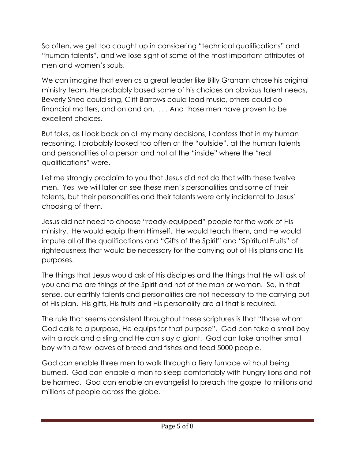So often, we get too caught up in considering "technical qualifications" and "human talents", and we lose sight of some of the most important attributes of men and women's souls.

We can imagine that even as a great leader like Billy Graham chose his original ministry team, He probably based some of his choices on obvious talent needs, Beverly Shea could sing, Cliff Barrows could lead music, others could do financial matters, and on and on. . . . And those men have proven to be excellent choices.

But folks, as I look back on all my many decisions, I confess that in my human reasoning, I probably looked too often at the "outside", at the human talents and personalities of a person and not at the "inside" where the "real qualifications" were.

Let me strongly proclaim to you that Jesus did not do that with these twelve men. Yes, we will later on see these men's personalities and some of their talents, but their personalities and their talents were only incidental to Jesus' choosing of them.

Jesus did not need to choose "ready-equipped" people for the work of His ministry. He would equip them Himself. He would teach them, and He would impute all of the qualifications and "Gifts of the Spirit" and "Spiritual Fruits" of righteousness that would be necessary for the carrying out of His plans and His purposes.

The things that Jesus would ask of His disciples and the things that He will ask of you and me are things of the Spirit and not of the man or woman. So, in that sense, our earthly talents and personalities are not necessary to the carrying out of His plan. His gifts, His fruits and His personality are all that is required.

The rule that seems consistent throughout these scriptures is that "those whom God calls to a purpose, He equips for that purpose". God can take a small boy with a rock and a sling and He can slay a giant. God can take another small boy with a few loaves of bread and fishes and feed 5000 people.

God can enable three men to walk through a fiery furnace without being burned. God can enable a man to sleep comfortably with hungry lions and not be harmed. God can enable an evangelist to preach the gospel to millions and millions of people across the globe.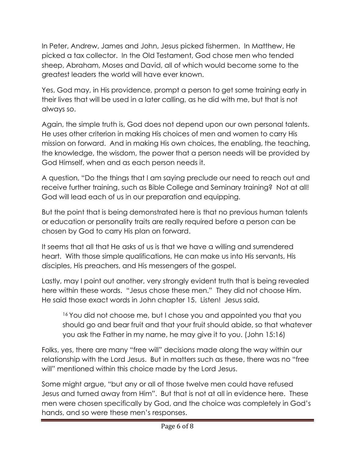In Peter, Andrew, James and John, Jesus picked fishermen. In Matthew, He picked a tax collector. In the Old Testament, God chose men who tended sheep, Abraham, Moses and David, all of which would become some to the greatest leaders the world will have ever known.

Yes, God may, in His providence, prompt a person to get some training early in their lives that will be used in a later calling, as he did with me, but that is not always so.

Again, the simple truth is, God does not depend upon our own personal talents. He uses other criterion in making His choices of men and women to carry His mission on forward. And in making His own choices, the enabling, the teaching, the knowledge, the wisdom, the power that a person needs will be provided by God Himself, when and as each person needs it.

A question, "Do the things that I am saying preclude our need to reach out and receive further training, such as Bible College and Seminary training? Not at all! God will lead each of us in our preparation and equipping.

But the point that is being demonstrated here is that no previous human talents or education or personality traits are really required before a person can be chosen by God to carry His plan on forward.

It seems that all that He asks of us is that we have a willing and surrendered heart. With those simple qualifications, He can make us into His servants, His disciples, His preachers, and His messengers of the gospel.

Lastly, may I point out another, very strongly evident truth that is being revealed here within these words. "Jesus chose these men." They did not choose Him. He said those exact words in John chapter 15. Listen! Jesus said,

<sup>16</sup> You did not choose me, but I chose you and appointed you that you should go and bear fruit and that your fruit should abide, so that whatever you ask the Father in my name, he may give it to you. (John 15:16)

Folks, yes, there are many "free will" decisions made along the way within our relationship with the Lord Jesus. But in matters such as these, there was no "free will" mentioned within this choice made by the Lord Jesus.

Some might argue, "but any or all of those twelve men could have refused Jesus and turned away from Him". But that is not at all in evidence here. These men were chosen specifically by God, and the choice was completely in God's hands, and so were these men's responses.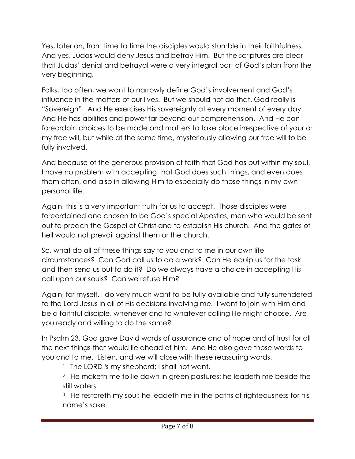Yes, later on, from time to time the disciples would stumble in their faithfulness. And yes, Judas would deny Jesus and betray Him. But the scriptures are clear that Judas' denial and betrayal were a very integral part of God's plan from the very beginning.

Folks, too often, we want to narrowly define God's involvement and God's influence in the matters of our lives. But we should not do that. God really is "Sovereign". And He exercises His sovereignty at every moment of every day. And He has abilities and power far beyond our comprehension. And He can foreordain choices to be made and matters to take place irrespective of your or my free will, but while at the same time, mysteriously allowing our free will to be fully involved.

And because of the generous provision of faith that God has put within my soul, I have no problem with accepting that God does such things, and even does them often, and also in allowing Him to especially do those things in my own personal life.

Again, this is a very important truth for us to accept. Those disciples were foreordained and chosen to be God's special Apostles, men who would be sent out to preach the Gospel of Christ and to establish His church. And the gates of hell would not prevail against them or the church.

So, what do all of these things say to you and to me in our own life circumstances? Can God call us to do a work? Can He equip us for the task and then send us out to do it? Do we always have a choice in accepting His call upon our souls? Can we refuse Him?

Again, for myself, I do very much want to be fully available and fully surrendered to the Lord Jesus in all of His decisions involving me. I want to join with Him and be a faithful disciple, whenever and to whatever calling He might choose. Are you ready and willing to do the same?

In Psalm 23, God gave David words of assurance and of hope and of trust for all the next things that would lie ahead of him. And He also gave those words to you and to me. Listen, and we will close with these reassuring words.

<sup>1</sup> The LORD is my shepherd; I shall not want.

 $2$  He maketh me to lie down in green pastures: he leadeth me beside the still waters.

<sup>3</sup> He restoreth my soul: he leadeth me in the paths of righteousness for his name's sake.